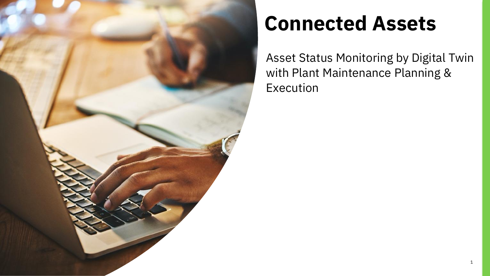

# **Connected Assets**

Asset Status Monitoring by Digital Twin with Plant Maintenance Planning & Execution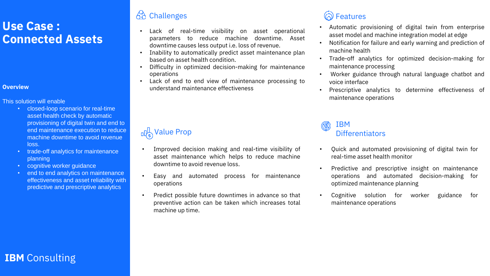## **Use Case : Connected Assets**

### **Overview**

### This solution will enable

## IBM  $\mathbb{Q}$  Differentiators<br>Differentiators

- closed-loop scenario for real-time asset health check by automatic provisioning of digital twin and end to end maintenance execution to reduce machine downtime to avoid revenue loss.
- trade-off analytics for maintenance planning
- cognitive worker guidance
- end to end analytics on maintenance effectiveness and asset reliability with predictive and prescriptive analytics

63

- Lack of real-time visibility on asset operational parameters to reduce machine downtime. Asset downtime causes less output i.e. loss of revenue.
- Inability to automatically predict asset maintenance plan based on asset health condition.
- Difficulty in optimized decision-making for maintenance operations
- Lack of end to end view of maintenance processing to understand maintenance effectiveness

Predictive and prescriptive insight on maintenance operations and automated decision-making for

• Automatic provisioning of digital twin from enterprise asset model and machine integration model at edge • Notification for failure and early warning and prediction of

• Trade-off analytics for optimized decision-making for • Worker guidance through natural language chatbot and

Prescriptive analytics to determine effectiveness of

- 
- machine health
- maintenance processing
- voice interface
- maintenance operations

- Improved decision making and real-time visibility of asset maintenance which helps to reduce machine downtime to avoid revenue loss.
- Easy and automated process for maintenance operations
- Predict possible future downtimes in advance so that preventive action can be taken which increases total machine up time.

## **Challenges Features Features**

• Quick and automated provisioning of digital twin for

- real-time asset health monitor
- optimized maintenance planning
- maintenance operations

## **IBM** Consulting

• Cognitive solution for worker guidance for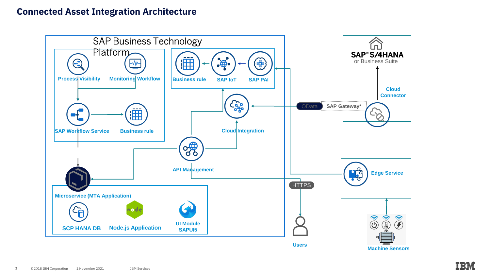

## **Connected Asset Integration Architecture**

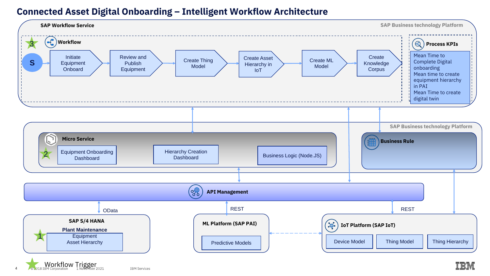

## **Connected Asset Digital Onboarding – Intelligent Workflow Architecture**

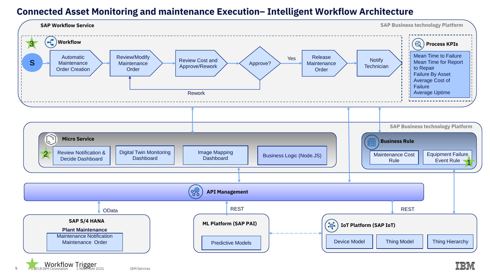5



## **Connected Asset Monitoring and maintenance Execution– Intelligent Workflow Architecture**

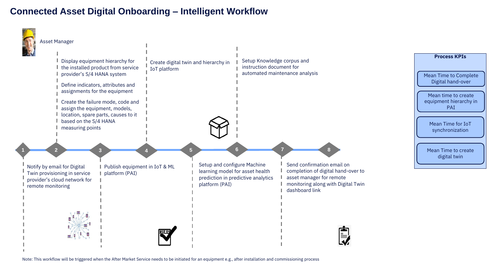### **Process KPIs**

## **Connected Asset Digital Onboarding – Intelligent Workflow**

Mean Time to Complete Digital hand-over

Mean Time to create digital twin



Mean time to create equipment hierarchy in PAI

Mean Time for IoT synchronization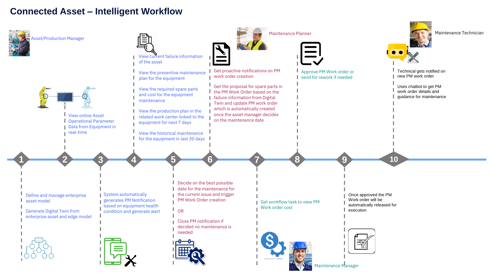

## **Connected Asset – Intelligent Workflow**